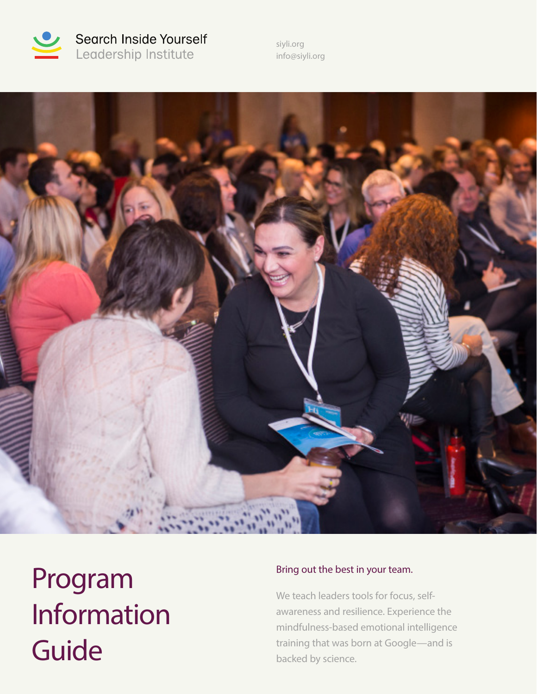

Search Inside Yourself Leadership Institute

siyli.org info@siyli.org



Program Information Guide

### Bring out the best in your team.

We teach leaders tools for focus, selfawareness and resilience. Experience the mindfulness-based emotional intelligence training that was born at Google—and is backed by science.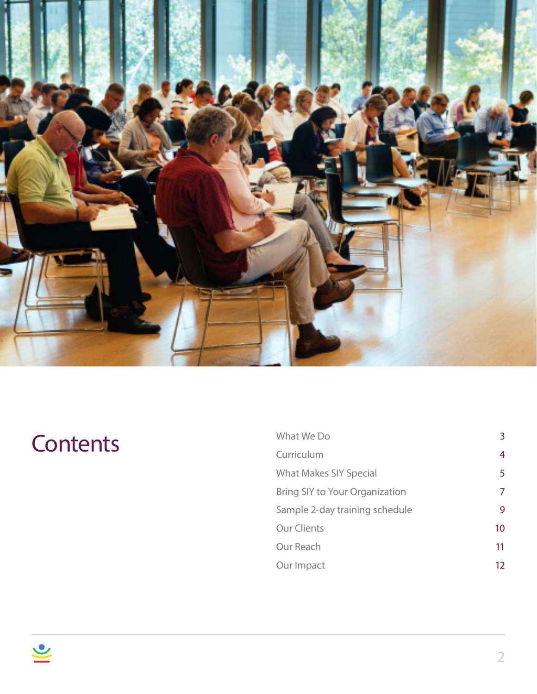

# **Contents**

| What We Do                     | 3. |
|--------------------------------|----|
| Curriculum                     | 4  |
| <b>What Makes SIY Special</b>  | 5  |
| Bring SIY to Your Organization | 7  |
| Sample 2-day training schedule | 9  |
| <b>Our Clients</b>             | 10 |
| Our Reach                      | 11 |
| Our Impact                     | 12 |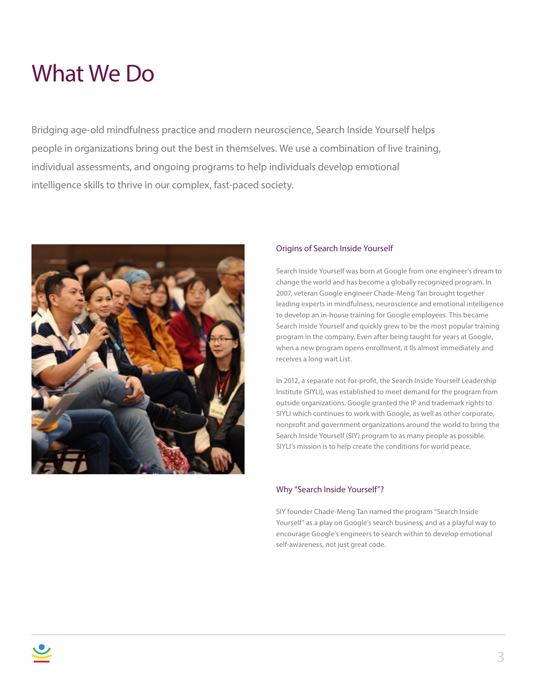### What We Do

Bridging age-old mindfulness practice and modern neuroscience, Search Inside Yourself helps people in organizations bring out the best in themselves. We use a combination of live training, individual assessments, and ongoing programs to help individuals develop emotional intelligence skills to thrive in our complex, fast-paced society.



#### Origins of Search Inside Yourself

Search Inside Yourself was born at Google from one engineer's dream to change the world and has become a globally recognized program. In 2007, veteran Google engineer Chade-Meng Tan brought together leading experts in mindfulness, neuroscience and emotional intelligence to develop an in-house training for Google employees. This became Search Inside Yourself and quickly grew to be the most popular training program in the company. Even after being taught for years at Google, when a new program opens enrollment, it lls almost immediately and receives a long wait List.

In 2012, a separate not-for-profit, the Search Inside Yourself Leadership Institute (SIYLI), was established to meet demand for the program from outside organizations. Google granted the IP and trademark rights to SIYLI which continues to work with Google, as well as other corporate, nonprofit and government organizations around the world to bring the Search Inside Yourself (SIY) program to as many people as possible. SIYLI's mission is to help create the conditions for world peace.

### Why "Search Inside Yourself"?

SIY founder Chade-Meng Tan named the program "Search Inside Yourself" as a play on Google's search business, and as a playful way to encourage Google's engineers to search within to develop emotional self-awareness, not just great code.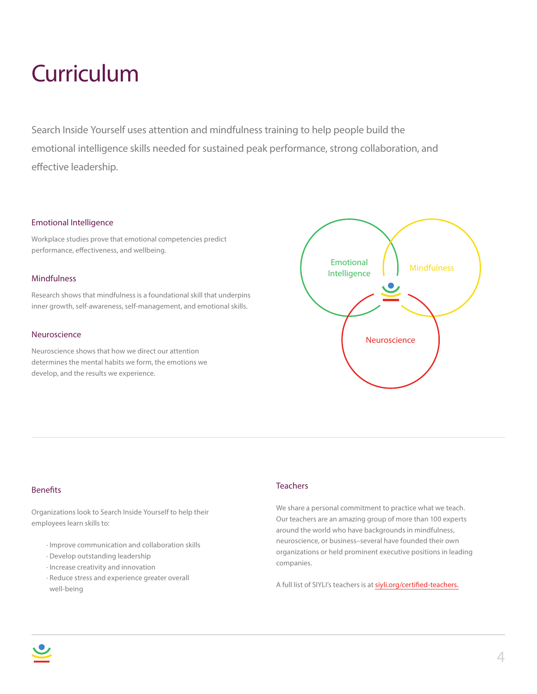### **Curriculum**

Search Inside Yourself uses attention and mindfulness training to help people build the emotional intelligence skills needed for sustained peak performance, strong collaboration, and effective leadership.

#### Emotional Intelligence

Workplace studies prove that emotional competencies predict performance, effectiveness, and wellbeing.

#### **Mindfulness**

Research shows that mindfulness is a foundational skill that underpins inner growth, self-awareness, self-management, and emotional skills.

#### Neuroscience

Neuroscience shows that how we direct our attention determines the mental habits we form, the emotions we develop, and the results we experience.



#### Benefits

Organizations look to Search Inside Yourself to help their employees learn skills to:

- · Improve communication and collaboration skills
- · Develop outstanding leadership
- · Increase creativity and innovation
- · Reduce stress and experience greater overall well-being

#### **Teachers**

We share a personal commitment to practice what we teach. Our teachers are an amazing group of more than 100 experts around the world who have backgrounds in mindfulness, neuroscience, or business–several have founded their own organizations or held prominent executive positions in leading companies.

A full list of SIYLI's teachers is at siyli.org/certified-teachers.

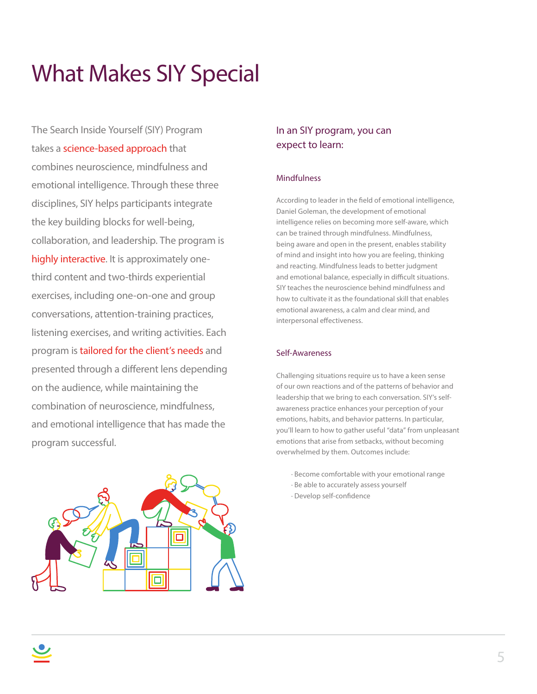## What Makes SIY Special

The Search Inside Yourself (SIY) Program takes a science-based approach that combines neuroscience, mindfulness and emotional intelligence. Through these three disciplines, SIY helps participants integrate the key building blocks for well-being, collaboration, and leadership. The program is highly interactive. It is approximately onethird content and two-thirds experiential exercises, including one-on-one and group conversations, attention-training practices, listening exercises, and writing activities. Each program is tailored for the client's needs and presented through a different lens depending on the audience, while maintaining the combination of neuroscience, mindfulness, and emotional intelligence that has made the program successful.



### In an SIY program, you can expect to learn:

### **Mindfulness**

According to leader in the field of emotional intelligence, Daniel Goleman, the development of emotional intelligence relies on becoming more self-aware, which can be trained through mindfulness. Mindfulness, being aware and open in the present, enables stability of mind and insight into how you are feeling, thinking and reacting. Mindfulness leads to better judgment and emotional balance, especially in difficult situations. SIY teaches the neuroscience behind mindfulness and how to cultivate it as the foundational skill that enables emotional awareness, a calm and clear mind, and interpersonal effectiveness.

### Self-Awareness

Challenging situations require us to have a keen sense of our own reactions and of the patterns of behavior and leadership that we bring to each conversation. SIY's selfawareness practice enhances your perception of your emotions, habits, and behavior patterns. In particular, you'll learn to how to gather useful "data" from unpleasant emotions that arise from setbacks, without becoming overwhelmed by them. Outcomes include:

- · Become comfortable with your emotional range
- · Be able to accurately assess yourself
- · Develop self-confidence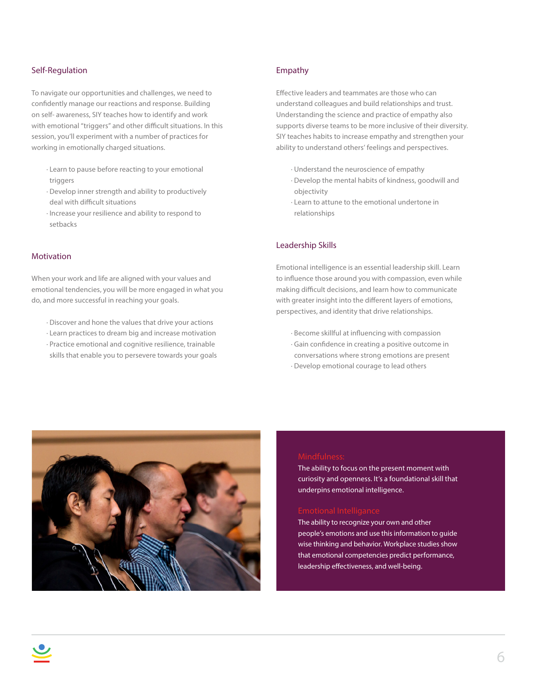#### Self-Regulation

To navigate our opportunities and challenges, we need to confidently manage our reactions and response. Building on self- awareness, SIY teaches how to identify and work with emotional "triggers" and other difficult situations. In this session, you'll experiment with a number of practices for working in emotionally charged situations.

- · Learn to pause before reacting to your emotional triggers
- · Develop inner strength and ability to productively deal with difficult situations
- · Increase your resilience and ability to respond to setbacks

#### Motivation

When your work and life are aligned with your values and emotional tendencies, you will be more engaged in what you do, and more successful in reaching your goals.

- · Discover and hone the values that drive your actions
- · Learn practices to dream big and increase motivation
- · Practice emotional and cognitive resilience, trainable skills that enable you to persevere towards your goals

#### Empathy

Effective leaders and teammates are those who can understand colleagues and build relationships and trust. Understanding the science and practice of empathy also supports diverse teams to be more inclusive of their diversity. SIY teaches habits to increase empathy and strengthen your ability to understand others' feelings and perspectives.

- · Understand the neuroscience of empathy
- · Develop the mental habits of kindness, goodwill and objectivity
- · Learn to attune to the emotional undertone in relationships

### Leadership Skills

Emotional intelligence is an essential leadership skill. Learn to influence those around you with compassion, even while making difficult decisions, and learn how to communicate with greater insight into the different layers of emotions, perspectives, and identity that drive relationships.

- · Become skillful at influencing with compassion
- · Gain confidence in creating a positive outcome in
- conversations where strong emotions are present
- · Develop emotional courage to lead others



The ability to focus on the present moment with curiosity and openness. It's a foundational skill that underpins emotional intelligence.

The ability to recognize your own and other people's emotions and use this information to guide wise thinking and behavior. Workplace studies show that emotional competencies predict performance, leadership effectiveness, and well-being.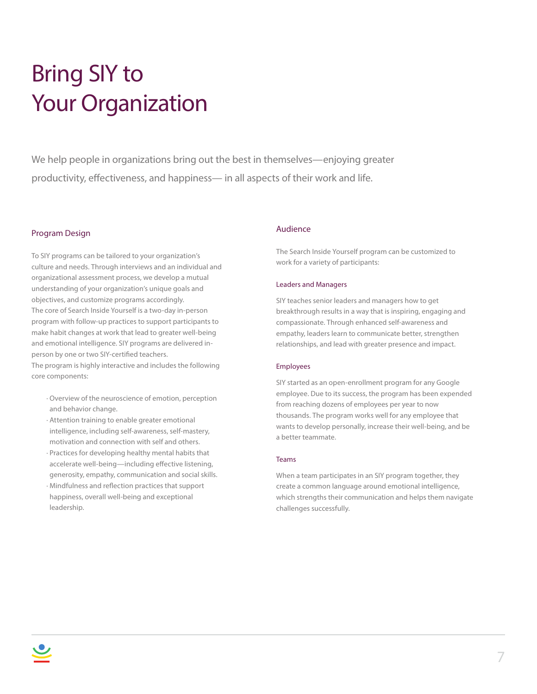# Bring SIY to Your Organization

We help people in organizations bring out the best in themselves—enjoying greater productivity, effectiveness, and happiness— in all aspects of their work and life.

#### Program Design

To SIY programs can be tailored to your organization's culture and needs. Through interviews and an individual and organizational assessment process, we develop a mutual understanding of your organization's unique goals and objectives, and customize programs accordingly. The core of Search Inside Yourself is a two-day in-person program with follow-up practices to support participants to make habit changes at work that lead to greater well-being and emotional intelligence. SIY programs are delivered inperson by one or two SIY-certified teachers. The program is highly interactive and includes the following core components:

- · Overview of the neuroscience of emotion, perception and behavior change.
- · Attention training to enable greater emotional intelligence, including self-awareness, self-mastery, motivation and connection with self and others.
- · Practices for developing healthy mental habits that accelerate well-being—including effective listening, generosity, empathy, communication and social skills.
- · Mindfulness and reflection practices that support happiness, overall well-being and exceptional leadership.

#### Audience

The Search Inside Yourself program can be customized to work for a variety of participants:

#### Leaders and Managers

SIY teaches senior leaders and managers how to get breakthrough results in a way that is inspiring, engaging and compassionate. Through enhanced self-awareness and empathy, leaders learn to communicate better, strengthen relationships, and lead with greater presence and impact.

#### Employees

SIY started as an open-enrollment program for any Google employee. Due to its success, the program has been expended from reaching dozens of employees per year to now thousands. The program works well for any employee that wants to develop personally, increase their well-being, and be a better teammate.

#### Teams

When a team participates in an SIY program together, they create a common language around emotional intelligence, which strengths their communication and helps them navigate challenges successfully.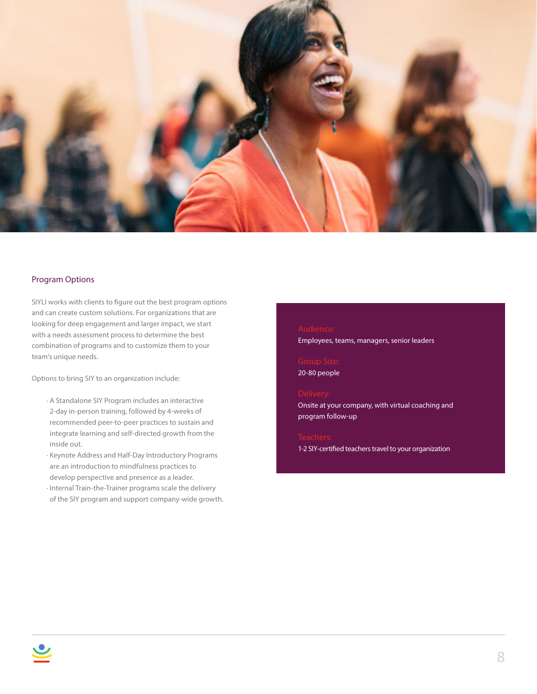

#### Program Options

SIYLI works with clients to figure out the best program options and can create custom solutions. For organizations that are looking for deep engagement and larger impact, we start with a needs assessment process to determine the best combination of programs and to customize them to your team's unique needs.

Options to bring SIY to an organization include:

- · A Standalone SIY Program includes an interactive 2-day in-person training, followed by 4-weeks of recommended peer-to-peer practices to sustain and integrate learning and self-directed growth from the inside out.
- · Keynote Address and Half-Day Introductory Programs are an introduction to mindfulness practices to develop perspective and presence as a leader.
- · Internal Train-the-Trainer programs scale the delivery of the SIY program and support company-wide growth.

#### Audience:

Employees, teams, managers, senior leaders

20-80 people

#### Delivery:

Onsite at your company, with virtual coaching and program follow-up

1-2 SIY-certified teachers travel to your organization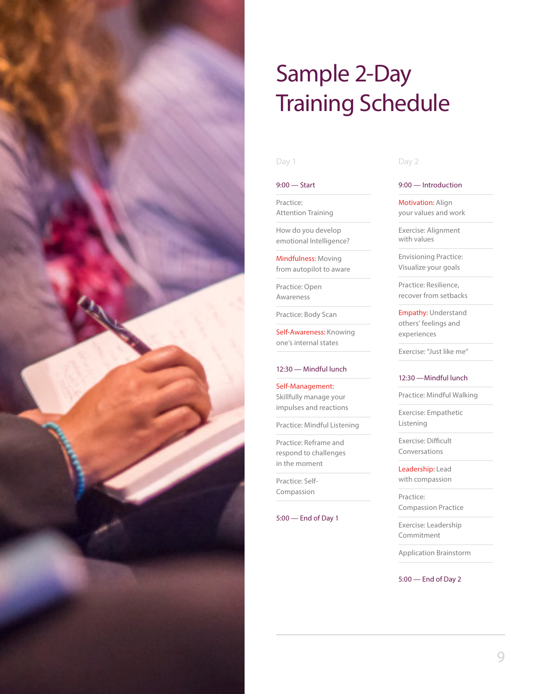

## Sample 2-Day Training Schedule

#### 9:00 — Start

Practice: Attention Training

How do you develop emotional Intelligence?

Mindfulness: Moving from autopilot to aware

Practice: Open Awareness

Practice: Body Scan

Self-Awareness: Knowing one's internal states

#### 12:30 — Mindful lunch

Self-Management: Skillfully manage your impulses and reactions

Practice: Mindful Listening

Practice: Reframe and respond to challenges in the moment

Practice: Self-Compassion

#### 5:00 — End of Day 1

#### Day 1 Day 2

#### 9:00 — Introduction

**Motivation: Align** your values and work

Exercise: Alignment with values

Envisioning Practice: Visualize your goals

Practice: Resilience, recover from setbacks

Empathy: Understand others' feelings and experiences

Exercise: "Just like me"

#### 12:30 —Mindful lunch

Practice: Mindful Walking

Exercise: Empathetic Listening

Exercise: Difficult Conversations

Leadership: Lead with compassion

Practice: Compassion Practice

Exercise: Leadership Commitment

Application Brainstorm

5:00 — End of Day 2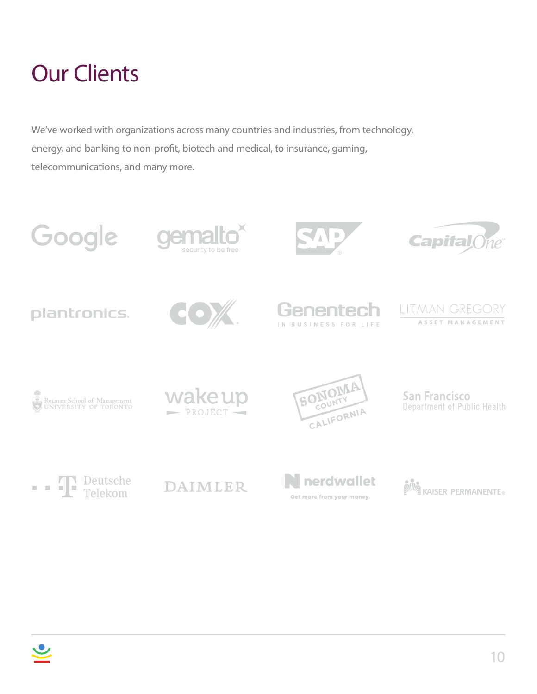## Our Clients

We've worked with organizations across many countries and industries, from technology, energy, and banking to non-profit, biotech and medical, to insurance, gaming, telecommunications, and many more.

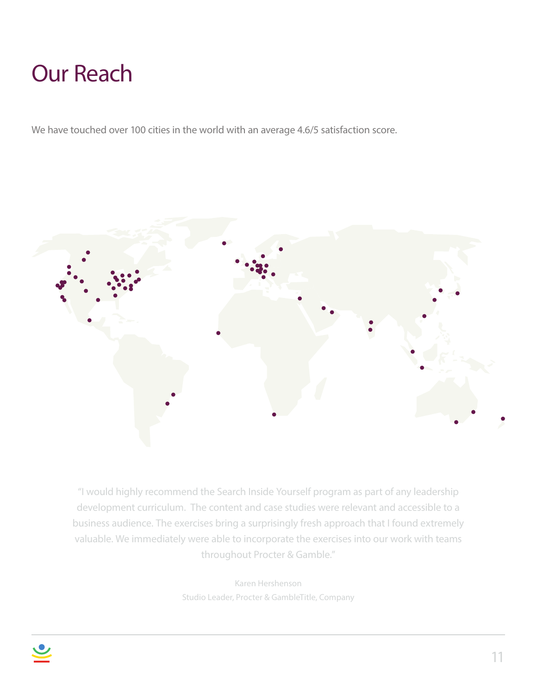## Our Reach

We have touched over 100 cities in the world with an average 4.6/5 satisfaction score.



"I would highly recommend the Search Inside Yourself program as part of any leadership development curriculum. The content and case studies were relevant and accessible to a business audience. The exercises bring a surprisingly fresh approach that I found extremely valuable. We immediately were able to incorporate the exercises into our work with teams throughout Procter & Gamble."

> Karen Hershenson Studio Leader, Procter & GambleTitle, Company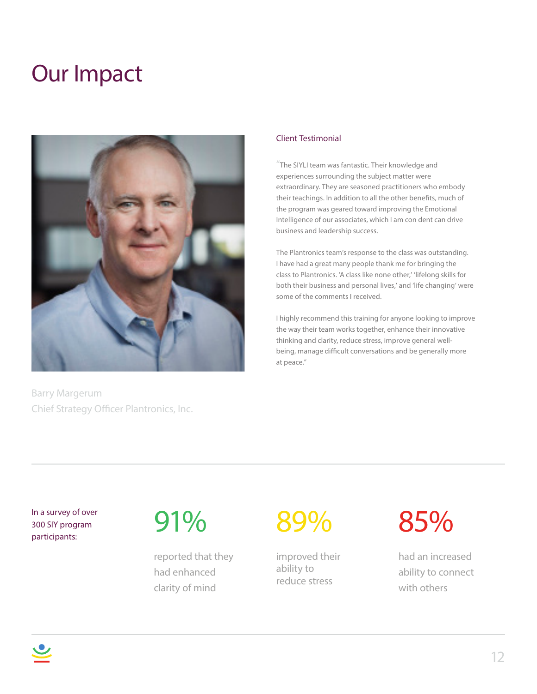### Our Impact



Barry Margerum Chief Strategy Officer Plantronics, Inc.

### Client Testimonial

"The SIYLI team was fantastic. Their knowledge and experiences surrounding the subject matter were extraordinary. They are seasoned practitioners who embody their teachings. In addition to all the other benefits, much of the program was geared toward improving the Emotional Intelligence of our associates, which I am con dent can drive business and leadership success.

The Plantronics team's response to the class was outstanding. I have had a great many people thank me for bringing the class to Plantronics. 'A class like none other,' 'lifelong skills for both their business and personal lives,' and 'life changing' were some of the comments I received.

I highly recommend this training for anyone looking to improve the way their team works together, enhance their innovative thinking and clarity, reduce stress, improve general wellbeing, manage difficult conversations and be generally more at peace."

In a survey of over 300 SIY program participants:

# 91%

reported that they had enhanced clarity of mind

# 89%

improved their ability to reduce stress

85%

had an increased ability to connect with others